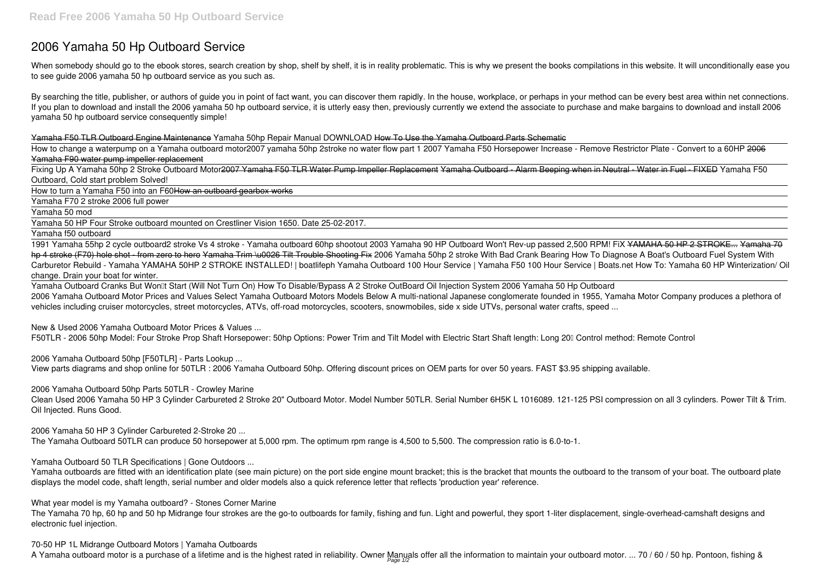# **2006 Yamaha 50 Hp Outboard Service**

When somebody should go to the ebook stores, search creation by shop, shelf by shelf, it is in reality problematic. This is why we present the books compilations in this website. It will unconditionally ease you to see guide **2006 yamaha 50 hp outboard service** as you such as.

By searching the title, publisher, or authors of guide you in point of fact want, you can discover them rapidly. In the house, workplace, or perhaps in your method can be every best area within net connections. If you plan to download and install the 2006 yamaha 50 hp outboard service, it is utterly easy then, previously currently we extend the associate to purchase and make bargains to download and install 2006 yamaha 50 hp outboard service consequently simple!

Fixing Up A Yamaha 50hp 2 Stroke Outboard Motor<del>2007 Yamaha F50 TLR Water Pump Impeller Replacement Yamaha Outboard - Alarm Beeping when in Neutral - Water in Fuel - FIXED Yamaha F50</del> Outboard, Cold start problem Solved!

#### Yamaha F50 TLR Outboard Engine Maintenance *Yamaha 50hp Repair Manual DOWNLOAD* How To Use the Yamaha Outboard Parts Schematic

How to change a waterpump on a Yamaha outboard motor*2007 yamaha 50hp 2stroke no water flow part 1* **2007 Yamaha F50 Horsepower Increase - Remove Restrictor Plate - Convert to a 60HP** 2006 Yamaha F90 water pump impeller replacement

Yamaha Outboard Cranks But Won<sup>[1]</sup> Start (Will Not Turn On) How To Disable/Bypass A 2 Stroke OutBoard Oil Injection System 2006 Yamaha 50 Hp Outboard 2006 Yamaha Outboard Motor Prices and Values Select Yamaha Outboard Motors Models Below A multi-national Japanese conglomerate founded in 1955, Yamaha Motor Company produces a plethora of vehicles including cruiser motorcycles, street motorcycles, ATVs, off-road motorcycles, scooters, snowmobiles, side x side UTVs, personal water crafts, speed ...

How to turn a Yamaha F50 into an F60How an outboard gearbox works

Yamaha F70 2 stroke 2006 full power

Yamaha 50 mod

Yamaha 50 HP Four Stroke outboard mounted on Crestliner Vision 1650. Date 25-02-2017.

Yamaha f50 outboard

1991 Yamaha 55hp 2 cycle outboard**2 stroke Vs 4 stroke - Yamaha outboard 60hp shootout** *2003 Yamaha 90 HP Outboard Won't Rev-up passed 2,500 RPM! FiX* YAMAHA 50 HP 2 STROKE... Yamaha 70 hp 4 stroke (F70) hole shot - from zero to hero Yamaha Trim \u0026 Tilt Trouble Shooting Fix 2006 Yamaha 50hp 2 stroke With Bad Crank Bearing How To Diagnose A Boat's Outboard Fuel System With Carburetor Rebuild - Yamaha *YAMAHA 50HP 2 STROKE INSTALLED! | boatlifeph Yamaha Outboard 100 Hour Service | Yamaha F50 100 Hour Service | Boats.net How To: Yamaha 60 HP Winterization/ Oil change. Drain your boat for winter.*

Yamaha outboards are fitted with an identification plate (see main picture) on the port side engine mount bracket; this is the bracket that mounts the outboard to the transom of your boat. The outboard plate displays the model code, shaft length, serial number and older models also a quick reference letter that reflects 'production year' reference.

**70-50 HP 1L Midrange Outboard Motors | Yamaha Outboards** A Yamaha outboard motor is a purchase of a lifetime and is the highest rated in reliability. Owner Manuals offer all the information to maintain your outboard motor. ... 70 / 60 / 50 hp. Pontoon, fishing &

**New & Used 2006 Yamaha Outboard Motor Prices & Values ...**

F50TLR - 2006 50hp Model: Four Stroke Prop Shaft Horsepower: 50hp Options: Power Trim and Tilt Model with Electric Start Shaft length: Long 20″ Control method: Remote Control

**2006 Yamaha Outboard 50hp [F50TLR] - Parts Lookup ...**

View parts diagrams and shop online for 50TLR : 2006 Yamaha Outboard 50hp. Offering discount prices on OEM parts for over 50 years. FAST \$3.95 shipping available.

**2006 Yamaha Outboard 50hp Parts 50TLR - Crowley Marine**

Clean Used 2006 Yamaha 50 HP 3 Cylinder Carbureted 2 Stroke 20" Outboard Motor. Model Number 50TLR. Serial Number 6H5K L 1016089. 121-125 PSI compression on all 3 cylinders. Power Tilt & Trim. Oil Injected. Runs Good.

**2006 Yamaha 50 HP 3 Cylinder Carbureted 2-Stroke 20 ...**

The Yamaha Outboard 50TLR can produce 50 horsepower at 5,000 rpm. The optimum rpm range is 4,500 to 5,500. The compression ratio is 6.0-to-1.

**Yamaha Outboard 50 TLR Specifications | Gone Outdoors ...**

**What year model is my Yamaha outboard? - Stones Corner Marine**

The Yamaha 70 hp, 60 hp and 50 hp Midrange four strokes are the go-to outboards for family, fishing and fun. Light and powerful, they sport 1-liter displacement, single-overhead-camshaft designs and electronic fuel injection.